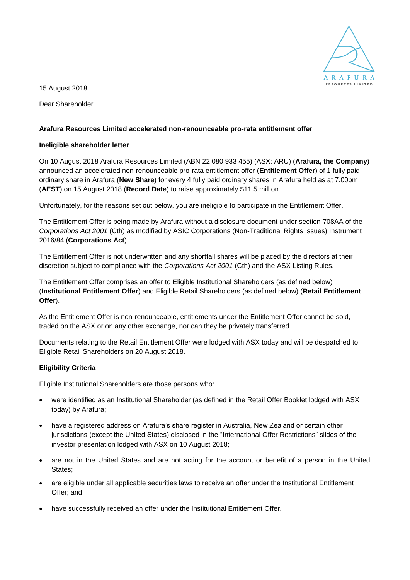

15 August 2018

Dear Shareholder

## **Arafura Resources Limited accelerated non-renounceable pro-rata entitlement offer**

## **Ineligible shareholder letter**

On 10 August 2018 Arafura Resources Limited (ABN 22 080 933 455) (ASX: ARU) (**Arafura, the Company**) announced an accelerated non-renounceable pro-rata entitlement offer (**Entitlement Offer**) of 1 fully paid ordinary share in Arafura (**New Share**) for every 4 fully paid ordinary shares in Arafura held as at 7.00pm (**AEST**) on 15 August 2018 (**Record Date**) to raise approximately \$11.5 million.

Unfortunately, for the reasons set out below, you are ineligible to participate in the Entitlement Offer.

The Entitlement Offer is being made by Arafura without a disclosure document under section 708AA of the *Corporations Act 2001* (Cth) as modified by ASIC Corporations (Non-Traditional Rights Issues) Instrument 2016/84 (**Corporations Act**).

The Entitlement Offer is not underwritten and any shortfall shares will be placed by the directors at their discretion subject to compliance with the *Corporations Act 2001* (Cth) and the ASX Listing Rules.

The Entitlement Offer comprises an offer to Eligible Institutional Shareholders (as defined below) (**Institutional Entitlement Offer**) and Eligible Retail Shareholders (as defined below) (**Retail Entitlement Offer**).

As the Entitlement Offer is non-renounceable, entitlements under the Entitlement Offer cannot be sold, traded on the ASX or on any other exchange, nor can they be privately transferred.

Documents relating to the Retail Entitlement Offer were lodged with ASX today and will be despatched to Eligible Retail Shareholders on 20 August 2018.

## **Eligibility Criteria**

Eligible Institutional Shareholders are those persons who:

- were identified as an Institutional Shareholder (as defined in the Retail Offer Booklet lodged with ASX today) by Arafura;
- have a registered address on Arafura's share register in Australia, New Zealand or certain other jurisdictions (except the United States) disclosed in the "International Offer Restrictions" slides of the investor presentation lodged with ASX on 10 August 2018;
- are not in the United States and are not acting for the account or benefit of a person in the United States;
- are eligible under all applicable securities laws to receive an offer under the Institutional Entitlement Offer; and
- have successfully received an offer under the Institutional Entitlement Offer.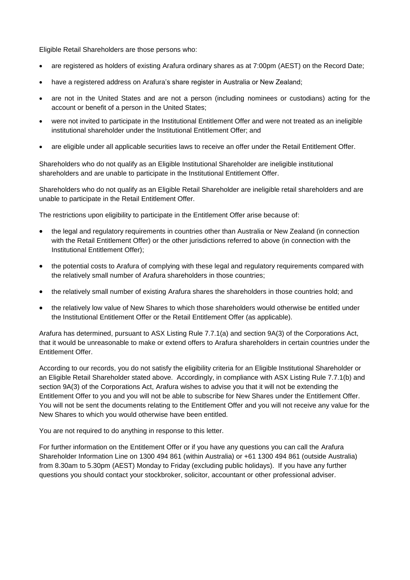Eligible Retail Shareholders are those persons who:

- are registered as holders of existing Arafura ordinary shares as at 7:00pm (AEST) on the Record Date;
- have a registered address on Arafura's share register in Australia or New Zealand;
- are not in the United States and are not a person (including nominees or custodians) acting for the account or benefit of a person in the United States;
- were not invited to participate in the Institutional Entitlement Offer and were not treated as an ineligible institutional shareholder under the Institutional Entitlement Offer; and
- are eligible under all applicable securities laws to receive an offer under the Retail Entitlement Offer.

Shareholders who do not qualify as an Eligible Institutional Shareholder are ineligible institutional shareholders and are unable to participate in the Institutional Entitlement Offer.

Shareholders who do not qualify as an Eligible Retail Shareholder are ineligible retail shareholders and are unable to participate in the Retail Entitlement Offer.

The restrictions upon eligibility to participate in the Entitlement Offer arise because of:

- the legal and regulatory requirements in countries other than Australia or New Zealand (in connection with the Retail Entitlement Offer) or the other jurisdictions referred to above (in connection with the Institutional Entitlement Offer);
- the potential costs to Arafura of complying with these legal and regulatory requirements compared with the relatively small number of Arafura shareholders in those countries;
- the relatively small number of existing Arafura shares the shareholders in those countries hold; and
- the relatively low value of New Shares to which those shareholders would otherwise be entitled under the Institutional Entitlement Offer or the Retail Entitlement Offer (as applicable).

Arafura has determined, pursuant to ASX Listing Rule 7.7.1(a) and section 9A(3) of the Corporations Act, that it would be unreasonable to make or extend offers to Arafura shareholders in certain countries under the Entitlement Offer.

According to our records, you do not satisfy the eligibility criteria for an Eligible Institutional Shareholder or an Eligible Retail Shareholder stated above. Accordingly, in compliance with ASX Listing Rule 7.7.1(b) and section 9A(3) of the Corporations Act, Arafura wishes to advise you that it will not be extending the Entitlement Offer to you and you will not be able to subscribe for New Shares under the Entitlement Offer. You will not be sent the documents relating to the Entitlement Offer and you will not receive any value for the New Shares to which you would otherwise have been entitled.

You are not required to do anything in response to this letter.

For further information on the Entitlement Offer or if you have any questions you can call the Arafura Shareholder Information Line on 1300 494 861 (within Australia) or +61 1300 494 861 (outside Australia) from 8.30am to 5.30pm (AEST) Monday to Friday (excluding public holidays). If you have any further questions you should contact your stockbroker, solicitor, accountant or other professional adviser.